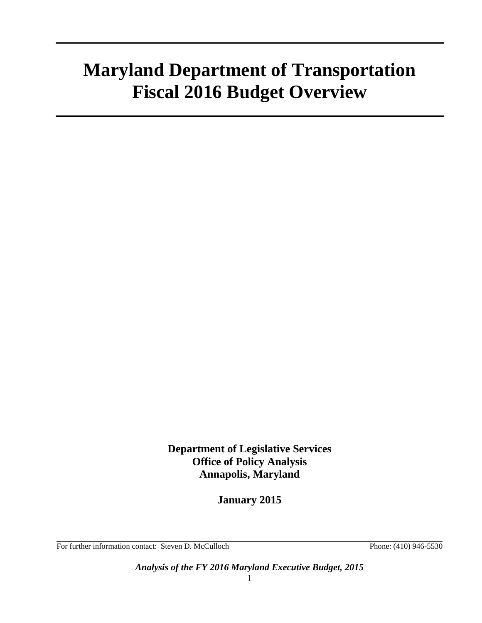# **Maryland Department of Transportation Fiscal 2016 Budget Overview**

**Department of Legislative Services Office of Policy Analysis Annapolis, Maryland**

**January 2015**

For further information contact: Steven D. McCulloch Phone: (410) 946-5530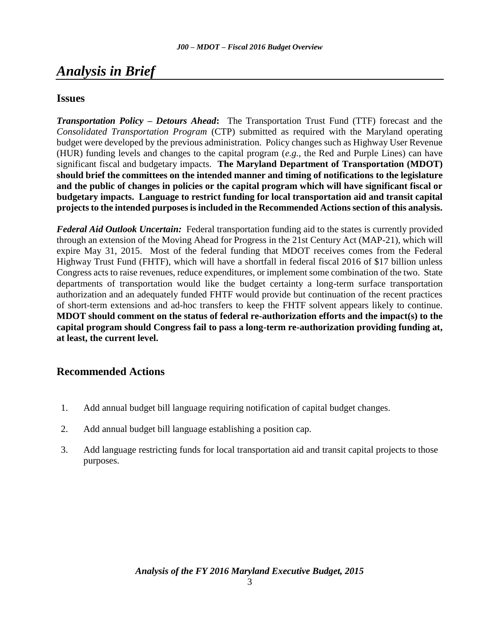# *Analysis in Brief*

### **Issues**

*Transportation Policy – Detours Ahead***:** The Transportation Trust Fund (TTF) forecast and the *Consolidated Transportation Program* (CTP) submitted as required with the Maryland operating budget were developed by the previous administration. Policy changes such as Highway User Revenue (HUR) funding levels and changes to the capital program (*e.g.*, the Red and Purple Lines) can have significant fiscal and budgetary impacts. **The Maryland Department of Transportation (MDOT) should brief the committees on the intended manner and timing of notifications to the legislature and the public of changes in policies or the capital program which will have significant fiscal or budgetary impacts. Language to restrict funding for local transportation aid and transit capital projects to the intended purposes is included in the Recommended Actions section of this analysis.**

*Federal Aid Outlook Uncertain:* Federal transportation funding aid to the states is currently provided through an extension of the Moving Ahead for Progress in the 21st Century Act (MAP-21), which will expire May 31, 2015. Most of the federal funding that MDOT receives comes from the Federal Highway Trust Fund (FHTF), which will have a shortfall in federal fiscal 2016 of \$17 billion unless Congress acts to raise revenues, reduce expenditures, or implement some combination of the two. State departments of transportation would like the budget certainty a long-term surface transportation authorization and an adequately funded FHTF would provide but continuation of the recent practices of short-term extensions and ad-hoc transfers to keep the FHTF solvent appears likely to continue. **MDOT should comment on the status of federal re-authorization efforts and the impact(s) to the capital program should Congress fail to pass a long-term re-authorization providing funding at, at least, the current level.**

### <span id="page-2-0"></span>**[Recommended Actions](#page-23-0)**

- 1. Add annual budget bill language requiring notification of capital budget changes.
- 2. Add annual budget bill language establishing a position cap.
- 3. Add language restricting funds for local transportation aid and transit capital projects to those purposes.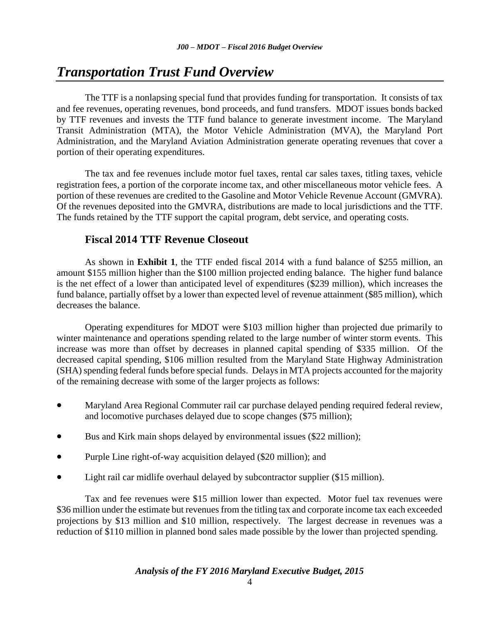# *Transportation Trust Fund Overview*

The TTF is a nonlapsing special fund that provides funding for transportation. It consists of tax and fee revenues, operating revenues, bond proceeds, and fund transfers. MDOT issues bonds backed by TTF revenues and invests the TTF fund balance to generate investment income. The Maryland Transit Administration (MTA), the Motor Vehicle Administration (MVA), the Maryland Port Administration, and the Maryland Aviation Administration generate operating revenues that cover a portion of their operating expenditures.

The tax and fee revenues include motor fuel taxes, rental car sales taxes, titling taxes, vehicle registration fees, a portion of the corporate income tax, and other miscellaneous motor vehicle fees. A portion of these revenues are credited to the Gasoline and Motor Vehicle Revenue Account (GMVRA). Of the revenues deposited into the GMVRA, distributions are made to local jurisdictions and the TTF. The funds retained by the TTF support the capital program, debt service, and operating costs.

### **Fiscal 2014 TTF Revenue Closeout**

As shown in **Exhibit 1**, the TTF ended fiscal 2014 with a fund balance of \$255 million, an amount \$155 million higher than the \$100 million projected ending balance. The higher fund balance is the net effect of a lower than anticipated level of expenditures (\$239 million), which increases the fund balance, partially offset by a lower than expected level of revenue attainment (\$85 million), which decreases the balance.

Operating expenditures for MDOT were \$103 million higher than projected due primarily to winter maintenance and operations spending related to the large number of winter storm events. This increase was more than offset by decreases in planned capital spending of \$335 million. Of the decreased capital spending, \$106 million resulted from the Maryland State Highway Administration (SHA) spending federal funds before special funds. Delays in MTA projects accounted for the majority of the remaining decrease with some of the larger projects as follows:

- Maryland Area Regional Commuter rail car purchase delayed pending required federal review, and locomotive purchases delayed due to scope changes (\$75 million);
- Bus and Kirk main shops delayed by environmental issues (\$22 million);
- Purple Line right-of-way acquisition delayed (\$20 million); and
- Light rail car midlife overhaul delayed by subcontractor supplier (\$15 million).

Tax and fee revenues were \$15 million lower than expected. Motor fuel tax revenues were \$36 million under the estimate but revenues from the titling tax and corporate income tax each exceeded projections by \$13 million and \$10 million, respectively. The largest decrease in revenues was a reduction of \$110 million in planned bond sales made possible by the lower than projected spending.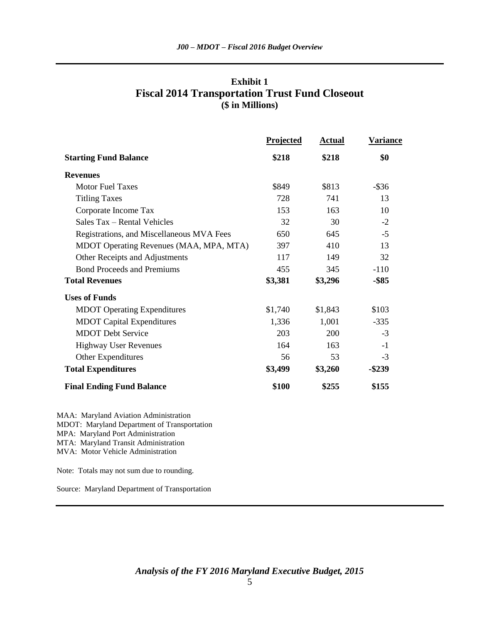| Exhibit 1                                             |  |  |  |  |
|-------------------------------------------------------|--|--|--|--|
| <b>Fiscal 2014 Transportation Trust Fund Closeout</b> |  |  |  |  |
| (\$ in Millions)                                      |  |  |  |  |

|                                           | Projected | <b>Actual</b> | Variance  |
|-------------------------------------------|-----------|---------------|-----------|
| <b>Starting Fund Balance</b>              | \$218     | \$218         | \$0       |
| <b>Revenues</b>                           |           |               |           |
| <b>Motor Fuel Taxes</b>                   | \$849     | \$813         | $-$ \$36  |
| <b>Titling Taxes</b>                      | 728       | 741           | 13        |
| Corporate Income Tax                      | 153       | 163           | 10        |
| Sales Tax - Rental Vehicles               | 32        | 30            | $-2$      |
| Registrations, and Miscellaneous MVA Fees | 650       | 645           | $-5$      |
| MDOT Operating Revenues (MAA, MPA, MTA)   | 397       | 410           | 13        |
| Other Receipts and Adjustments            | 117       | 149           | 32        |
| <b>Bond Proceeds and Premiums</b>         | 455       | 345           | $-110$    |
| <b>Total Revenues</b>                     | \$3,381   | \$3,296       | $-$ \$85  |
| <b>Uses of Funds</b>                      |           |               |           |
| <b>MDOT</b> Operating Expenditures        | \$1,740   | \$1,843       | \$103     |
| <b>MDOT</b> Capital Expenditures          | 1,336     | 1,001         | $-335$    |
| <b>MDOT</b> Debt Service                  | 203       | 200           | $-3$      |
| <b>Highway User Revenues</b>              | 164       | 163           | $-1$      |
| Other Expenditures                        | 56        | 53            | $-3$      |
| <b>Total Expenditures</b>                 | \$3,499   | \$3,260       | $-$ \$239 |
| <b>Final Ending Fund Balance</b>          | \$100     | \$255         | \$155     |

MAA: Maryland Aviation Administration MDOT: Maryland Department of Transportation MPA: Maryland Port Administration MTA: Maryland Transit Administration MVA: Motor Vehicle Administration

Note: Totals may not sum due to rounding.

Source: Maryland Department of Transportation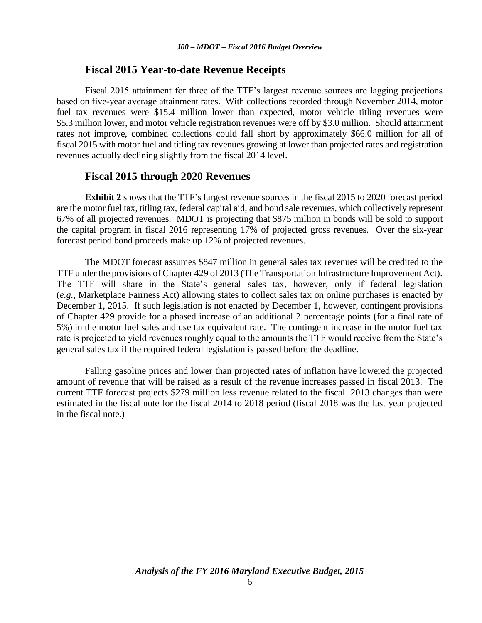### **Fiscal 2015 Year-to-date Revenue Receipts**

Fiscal 2015 attainment for three of the TTF's largest revenue sources are lagging projections based on five-year average attainment rates. With collections recorded through November 2014, motor fuel tax revenues were \$15.4 million lower than expected, motor vehicle titling revenues were \$5.3 million lower, and motor vehicle registration revenues were off by \$3.0 million. Should attainment rates not improve, combined collections could fall short by approximately \$66.0 million for all of fiscal 2015 with motor fuel and titling tax revenues growing at lower than projected rates and registration revenues actually declining slightly from the fiscal 2014 level.

### **Fiscal 2015 through 2020 Revenues**

**Exhibit 2** shows that the TTF's largest revenue sources in the fiscal 2015 to 2020 forecast period are the motor fuel tax, titling tax, federal capital aid, and bond sale revenues, which collectively represent 67% of all projected revenues. MDOT is projecting that \$875 million in bonds will be sold to support the capital program in fiscal 2016 representing 17% of projected gross revenues. Over the six-year forecast period bond proceeds make up 12% of projected revenues.

The MDOT forecast assumes \$847 million in general sales tax revenues will be credited to the TTF under the provisions of Chapter 429 of 2013 (The Transportation Infrastructure Improvement Act). The TTF will share in the State's general sales tax, however, only if federal legislation (*e.g.,* Marketplace Fairness Act) allowing states to collect sales tax on online purchases is enacted by December 1, 2015. If such legislation is not enacted by December 1, however, contingent provisions of Chapter 429 provide for a phased increase of an additional 2 percentage points (for a final rate of 5%) in the motor fuel sales and use tax equivalent rate. The contingent increase in the motor fuel tax rate is projected to yield revenues roughly equal to the amounts the TTF would receive from the State's general sales tax if the required federal legislation is passed before the deadline.

Falling gasoline prices and lower than projected rates of inflation have lowered the projected amount of revenue that will be raised as a result of the revenue increases passed in fiscal 2013. The current TTF forecast projects \$279 million less revenue related to the fiscal 2013 changes than were estimated in the fiscal note for the fiscal 2014 to 2018 period (fiscal 2018 was the last year projected in the fiscal note.)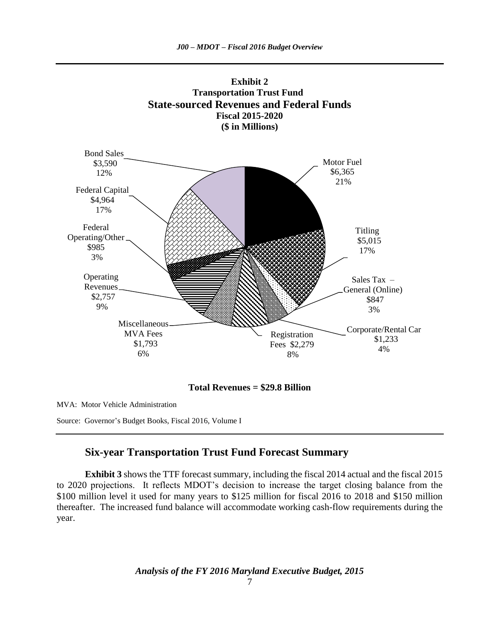**Exhibit 2**



**Total Revenues = \$29.8 Billion**

MVA: Motor Vehicle Administration

Source: Governor's Budget Books, Fiscal 2016, Volume I

### **Six-year Transportation Trust Fund Forecast Summary**

**Exhibit 3** shows the TTF forecast summary, including the fiscal 2014 actual and the fiscal 2015 to 2020 projections. It reflects MDOT's decision to increase the target closing balance from the \$100 million level it used for many years to \$125 million for fiscal 2016 to 2018 and \$150 million thereafter. The increased fund balance will accommodate working cash-flow requirements during the year.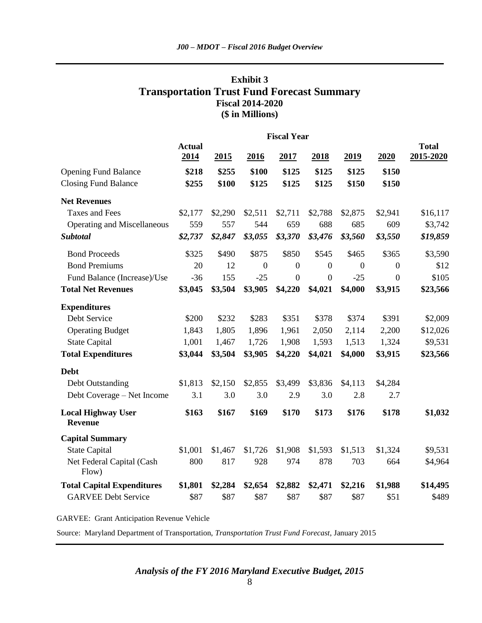### **Exhibit 3 Transportation Trust Fund Forecast Summary Fiscal 2014-2020 (\$ in Millions)**

|                                             | <b>Fiscal Year</b>    |         |                |                |                |                |                |                           |
|---------------------------------------------|-----------------------|---------|----------------|----------------|----------------|----------------|----------------|---------------------------|
|                                             | <b>Actual</b><br>2014 | 2015    | <u>2016</u>    | 2017           | <u>2018</u>    | <u>2019</u>    | 2020           | <b>Total</b><br>2015-2020 |
| <b>Opening Fund Balance</b>                 | \$218                 | \$255   | \$100          | \$125          | \$125          | \$125          | \$150          |                           |
| <b>Closing Fund Balance</b>                 | \$255                 | \$100   | \$125          | \$125          | \$125          | \$150          | \$150          |                           |
| <b>Net Revenues</b>                         |                       |         |                |                |                |                |                |                           |
| <b>Taxes and Fees</b>                       | \$2,177               | \$2,290 | \$2,511        | \$2,711        | \$2,788        | \$2,875        | \$2,941        | \$16,117                  |
| <b>Operating and Miscellaneous</b>          | 559                   | 557     | 544            | 659            | 688            | 685            | 609            | \$3,742                   |
| <b>Subtotal</b>                             | \$2,737               | \$2,847 | \$3,055        | \$3,370        | \$3,476        | \$3,560        | \$3,550        | \$19,859                  |
| <b>Bond Proceeds</b>                        | \$325                 | \$490   | \$875          | \$850          | \$545          | \$465          | \$365          | \$3,590                   |
| <b>Bond Premiums</b>                        | 20                    | 12      | $\overline{0}$ | $\overline{0}$ | $\overline{0}$ | $\overline{0}$ | $\overline{0}$ | \$12                      |
| Fund Balance (Increase)/Use                 | $-36$                 | 155     | $-25$          | $\overline{0}$ | $\overline{0}$ | $-25$          | $\overline{0}$ | \$105                     |
| <b>Total Net Revenues</b>                   | \$3,045               | \$3,504 | \$3,905        | \$4,220        | \$4,021        | \$4,000        | \$3,915        | \$23,566                  |
| <b>Expenditures</b>                         |                       |         |                |                |                |                |                |                           |
| Debt Service                                | \$200                 | \$232   | \$283          | \$351          | \$378          | \$374          | \$391          | \$2,009                   |
| <b>Operating Budget</b>                     | 1,843                 | 1,805   | 1,896          | 1,961          | 2,050          | 2,114          | 2,200          | \$12,026                  |
| <b>State Capital</b>                        | 1,001                 | 1,467   | 1,726          | 1,908          | 1,593          | 1,513          | 1,324          | \$9,531                   |
| <b>Total Expenditures</b>                   | \$3,044               | \$3,504 | \$3,905        | \$4,220        | \$4,021        | \$4,000        | \$3,915        | \$23,566                  |
| <b>Debt</b>                                 |                       |         |                |                |                |                |                |                           |
| Debt Outstanding                            | \$1,813               | \$2,150 | \$2,855        | \$3,499        | \$3,836        | \$4,113        | \$4,284        |                           |
| Debt Coverage – Net Income                  | 3.1                   | 3.0     | 3.0            | 2.9            | 3.0            | 2.8            | 2.7            |                           |
| <b>Local Highway User</b><br><b>Revenue</b> | \$163                 | \$167   | \$169          | \$170          | \$173          | \$176          | \$178          | \$1,032                   |
| <b>Capital Summary</b>                      |                       |         |                |                |                |                |                |                           |
| <b>State Capital</b>                        | \$1,001               | \$1,467 | \$1,726        | \$1,908        | \$1,593        | \$1,513        | \$1,324        | \$9,531                   |
| Net Federal Capital (Cash<br>Flow)          | 800                   | 817     | 928            | 974            | 878            | 703            | 664            | \$4,964                   |
| <b>Total Capital Expenditures</b>           | \$1,801               | \$2,284 | \$2,654        | \$2,882        | \$2,471        | \$2,216        | \$1,988        | \$14,495                  |
| <b>GARVEE Debt Service</b>                  | \$87                  | \$87    | \$87           | \$87           | \$87           | \$87           | \$51           | \$489                     |

GARVEE: Grant Anticipation Revenue Vehicle

Source: Maryland Department of Transportation, *Transportation Trust Fund Forecast*, January 2015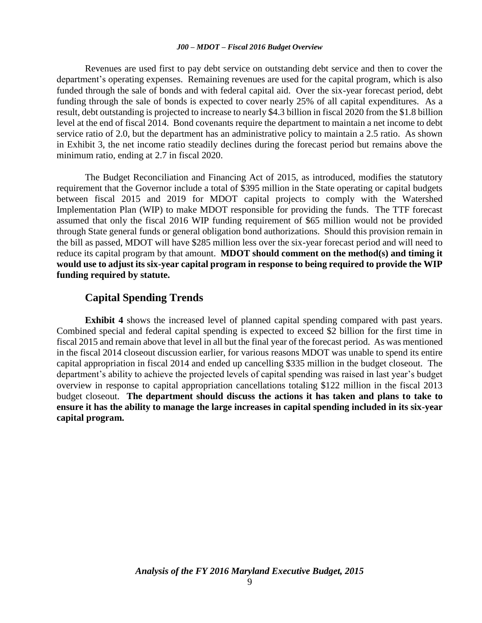Revenues are used first to pay debt service on outstanding debt service and then to cover the department's operating expenses. Remaining revenues are used for the capital program, which is also funded through the sale of bonds and with federal capital aid. Over the six-year forecast period, debt funding through the sale of bonds is expected to cover nearly 25% of all capital expenditures. As a result, debt outstanding is projected to increase to nearly \$4.3 billion in fiscal 2020 from the \$1.8 billion level at the end of fiscal 2014. Bond covenants require the department to maintain a net income to debt service ratio of 2.0, but the department has an administrative policy to maintain a 2.5 ratio. As shown in Exhibit 3, the net income ratio steadily declines during the forecast period but remains above the minimum ratio, ending at 2.7 in fiscal 2020.

The Budget Reconciliation and Financing Act of 2015, as introduced, modifies the statutory requirement that the Governor include a total of \$395 million in the State operating or capital budgets between fiscal 2015 and 2019 for MDOT capital projects to comply with the Watershed Implementation Plan (WIP) to make MDOT responsible for providing the funds. The TTF forecast assumed that only the fiscal 2016 WIP funding requirement of \$65 million would not be provided through State general funds or general obligation bond authorizations. Should this provision remain in the bill as passed, MDOT will have \$285 million less over the six-year forecast period and will need to reduce its capital program by that amount. **MDOT should comment on the method(s) and timing it would use to adjust its six-year capital program in response to being required to provide the WIP funding required by statute.**

### **Capital Spending Trends**

**Exhibit 4** shows the increased level of planned capital spending compared with past years. Combined special and federal capital spending is expected to exceed \$2 billion for the first time in fiscal 2015 and remain above that level in all but the final year of the forecast period. As was mentioned in the fiscal 2014 closeout discussion earlier, for various reasons MDOT was unable to spend its entire capital appropriation in fiscal 2014 and ended up cancelling \$335 million in the budget closeout. The department's ability to achieve the projected levels of capital spending was raised in last year's budget overview in response to capital appropriation cancellations totaling \$122 million in the fiscal 2013 budget closeout. **The department should discuss the actions it has taken and plans to take to ensure it has the ability to manage the large increases in capital spending included in its six-year capital program.**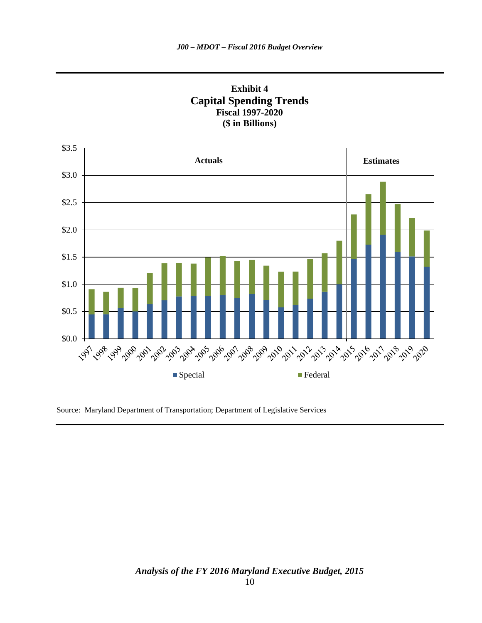



Source: Maryland Department of Transportation; Department of Legislative Services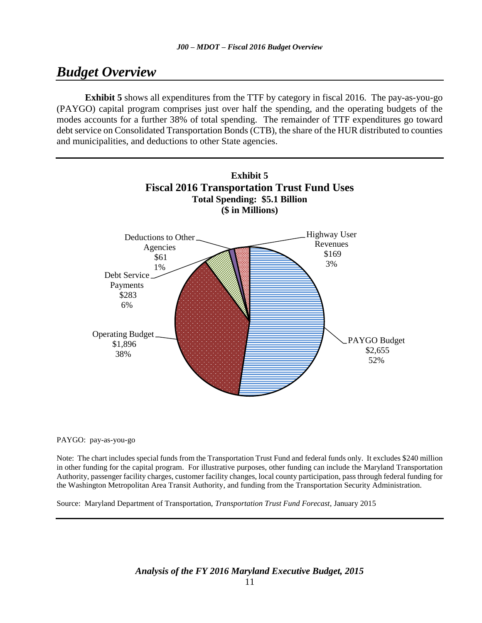# *Budget Overview*

**Exhibit 5** shows all expenditures from the TTF by category in fiscal 2016. The pay-as-you-go (PAYGO) capital program comprises just over half the spending, and the operating budgets of the modes accounts for a further 38% of total spending. The remainder of TTF expenditures go toward debt service on Consolidated Transportation Bonds (CTB), the share of the HUR distributed to counties and municipalities, and deductions to other State agencies.



#### PAYGO: pay-as-you-go

Note: The chart includes special funds from the Transportation Trust Fund and federal funds only. It excludes \$240 million in other funding for the capital program. For illustrative purposes, other funding can include the Maryland Transportation Authority, passenger facility charges, customer facility changes, local county participation, pass through federal funding for the Washington Metropolitan Area Transit Authority, and funding from the Transportation Security Administration.

Source: Maryland Department of Transportation, *Transportation Trust Fund Forecast*, January 2015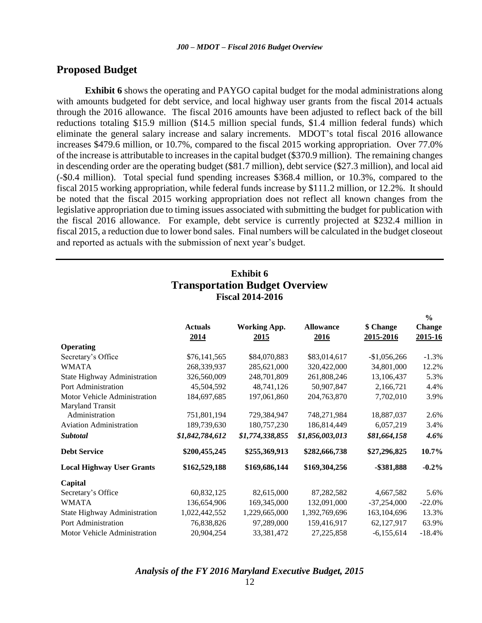### **Proposed Budget**

**Exhibit 6** shows the operating and PAYGO capital budget for the modal administrations along with amounts budgeted for debt service, and local highway user grants from the fiscal 2014 actuals through the 2016 allowance. The fiscal 2016 amounts have been adjusted to reflect back of the bill reductions totaling \$15.9 million (\$14.5 million special funds, \$1.4 million federal funds) which eliminate the general salary increase and salary increments. MDOT's total fiscal 2016 allowance increases \$479.6 million, or 10.7%, compared to the fiscal 2015 working appropriation. Over 77.0% of the increase is attributable to increases in the capital budget (\$370.9 million). The remaining changes in descending order are the operating budget (\$81.7 million), debt service (\$27.3 million), and local aid (-\$0.4 million). Total special fund spending increases \$368.4 million, or 10.3%, compared to the fiscal 2015 working appropriation, while federal funds increase by \$111.2 million, or 12.2%. It should be noted that the fiscal 2015 working appropriation does not reflect all known changes from the legislative appropriation due to timing issues associated with submitting the budget for publication with the fiscal 2016 allowance. For example, debt service is currently projected at \$232.4 million in fiscal 2015, a reduction due to lower bond sales. Final numbers will be calculated in the budget closeout and reported as actuals with the submission of next year's budget.

### **Exhibit 6 Transportation Budget Overview Fiscal 2014-2016**

**%** 

|                                  |                        |                             |                          |                        | 70.                      |
|----------------------------------|------------------------|-----------------------------|--------------------------|------------------------|--------------------------|
|                                  | <b>Actuals</b><br>2014 | <b>Working App.</b><br>2015 | <b>Allowance</b><br>2016 | \$ Change<br>2015-2016 | <b>Change</b><br>2015-16 |
| <b>Operating</b>                 |                        |                             |                          |                        |                          |
| Secretary's Office               | \$76,141,565           | \$84,070,883                | \$83,014,617             | $-$1,056,266$          | $-1.3%$                  |
| <b>WMATA</b>                     | 268,339,937            | 285,621,000                 | 320,422,000              | 34,801,000             | 12.2%                    |
| State Highway Administration     | 326,560,009            | 248,701,809                 | 261,808,246              | 13,106,437             | 5.3%                     |
| Port Administration              | 45,504,592             | 48,741,126                  | 50,907,847               | 2,166,721              | 4.4%                     |
| Motor Vehicle Administration     | 184,697,685            | 197,061,860                 | 204,763,870              | 7,702,010              | 3.9%                     |
| Maryland Transit                 |                        |                             |                          |                        |                          |
| Administration                   | 751,801,194            | 729,384,947                 | 748,271,984              | 18,887,037             | 2.6%                     |
| <b>Aviation Administration</b>   | 189,739,630            | 180,757,230                 | 186,814,449              | 6,057,219              | 3.4%                     |
| Subtotal                         | \$1,842,784,612        | \$1,774,338,855             | \$1,856,003,013          | \$81,664,158           | 4.6%                     |
| <b>Debt Service</b>              | \$200,455,245          | \$255,369,913               | \$282,666,738            | \$27,296,825           | 10.7%                    |
| <b>Local Highway User Grants</b> | \$162,529,188          | \$169,686,144               | \$169,304,256            | -\$381,888             | $-0.2%$                  |
| Capital                          |                        |                             |                          |                        |                          |
| Secretary's Office               | 60,832,125             | 82,615,000                  | 87,282,582               | 4,667,582              | 5.6%                     |
| <b>WMATA</b>                     | 136,654,906            | 169,345,000                 | 132,091,000              | $-37,254,000$          | $-22.0%$                 |
| State Highway Administration     | 1,022,442,552          | 1,229,665,000               | 1,392,769,696            | 163,104,696            | 13.3%                    |
| Port Administration              | 76,838,826             | 97,289,000                  | 159,416,917              | 62,127,917             | 63.9%                    |
| Motor Vehicle Administration     | 20,904,254             | 33,381,472                  | 27,225,858               | $-6,155,614$           | $-18.4%$                 |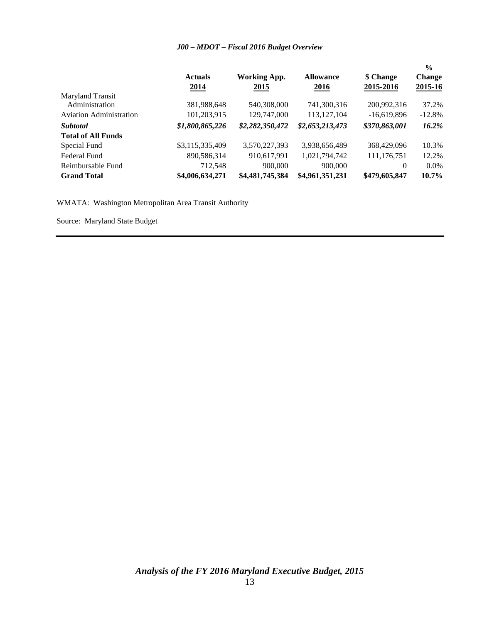| Maryland Transit               | <b>Actuals</b><br>2014 | <b>Working App.</b><br>2015 | <b>Allowance</b><br><u>2016</u> | \$ Change<br>2015-2016 | $\frac{0}{0}$<br><b>Change</b><br>2015-16 |
|--------------------------------|------------------------|-----------------------------|---------------------------------|------------------------|-------------------------------------------|
| Administration                 | 381,988,648            | 540,308,000                 | 741,300,316                     | 200,992,316            | 37.2%                                     |
| <b>Aviation Administration</b> | 101,203,915            | 129,747,000                 | 113, 127, 104                   | $-16,619,896$          | $-12.8%$                                  |
| <b>Subtotal</b>                | \$1,800,865,226        | \$2,282,350,472             | \$2,653,213,473                 | \$370,863,001          | 16.2%                                     |
| <b>Total of All Funds</b>      |                        |                             |                                 |                        |                                           |
| Special Fund                   | \$3,115,335,409        | 3,570,227,393               | 3,938,656,489                   | 368,429,096            | 10.3%                                     |
| Federal Fund                   | 890,586,314            | 910,617,991                 | 1,021,794,742                   | 111,176,751            | 12.2%                                     |
| Reimbursable Fund              | 712,548                | 900,000                     | 900,000                         | $\theta$               | $0.0\%$                                   |
| <b>Grand Total</b>             | \$4,006,634,271        | \$4,481,745,384             | \$4,961,351,231                 | \$479,605,847          | 10.7%                                     |

WMATA: Washington Metropolitan Area Transit Authority

Source: Maryland State Budget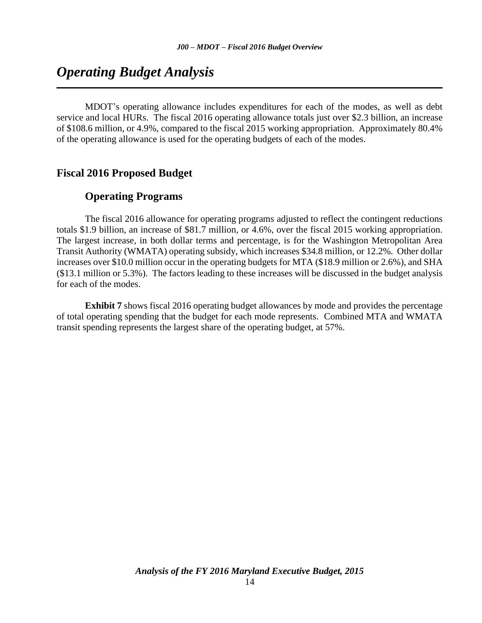# *Operating Budget Analysis*

MDOT's operating allowance includes expenditures for each of the modes, as well as debt service and local HURs. The fiscal 2016 operating allowance totals just over \$2.3 billion, an increase of \$108.6 million, or 4.9%, compared to the fiscal 2015 working appropriation. Approximately 80.4% of the operating allowance is used for the operating budgets of each of the modes.

### **Fiscal 2016 Proposed Budget**

### **Operating Programs**

The fiscal 2016 allowance for operating programs adjusted to reflect the contingent reductions totals \$1.9 billion, an increase of \$81.7 million, or 4.6%, over the fiscal 2015 working appropriation. The largest increase, in both dollar terms and percentage, is for the Washington Metropolitan Area Transit Authority (WMATA) operating subsidy, which increases \$34.8 million, or 12.2%. Other dollar increases over \$10.0 million occur in the operating budgets for MTA (\$18.9 million or 2.6%), and SHA (\$13.1 million or 5.3%). The factors leading to these increases will be discussed in the budget analysis for each of the modes.

**Exhibit 7** shows fiscal 2016 operating budget allowances by mode and provides the percentage of total operating spending that the budget for each mode represents. Combined MTA and WMATA transit spending represents the largest share of the operating budget, at 57%.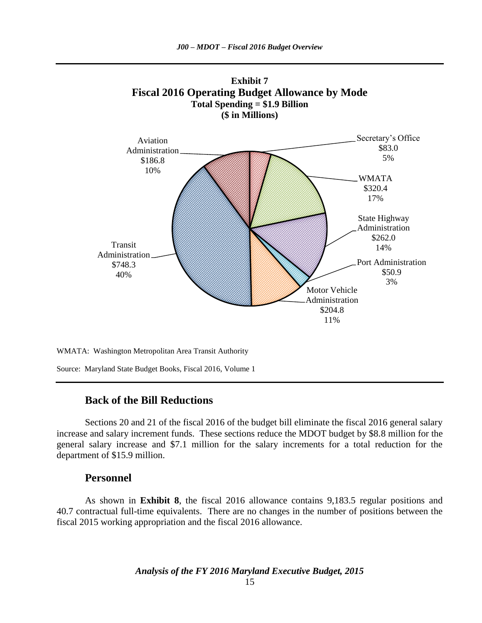**Exhibit 7**



WMATA: Washington Metropolitan Area Transit Authority

Source: Maryland State Budget Books, Fiscal 2016, Volume 1

### **Back of the Bill Reductions**

Sections 20 and 21 of the fiscal 2016 of the budget bill eliminate the fiscal 2016 general salary increase and salary increment funds. These sections reduce the MDOT budget by \$8.8 million for the general salary increase and \$7.1 million for the salary increments for a total reduction for the department of \$15.9 million.

### **Personnel**

As shown in **Exhibit 8**, the fiscal 2016 allowance contains 9,183.5 regular positions and 40.7 contractual full-time equivalents. There are no changes in the number of positions between the fiscal 2015 working appropriation and the fiscal 2016 allowance.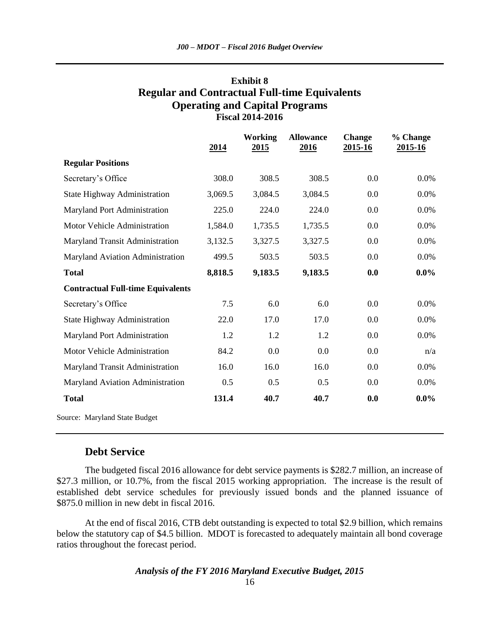### **Exhibit 8 Regular and Contractual Full-time Equivalents Operating and Capital Programs Fiscal 2014-2016**

|                                          | <u>2014</u> | <b>Working</b><br><u> 2015 </u> | <b>Allowance</b><br>2016 | <b>Change</b><br>2015-16 | % Change<br>2015-16 |
|------------------------------------------|-------------|---------------------------------|--------------------------|--------------------------|---------------------|
| <b>Regular Positions</b>                 |             |                                 |                          |                          |                     |
| Secretary's Office                       | 308.0       | 308.5                           | 308.5                    | 0.0                      | $0.0\%$             |
| State Highway Administration             | 3,069.5     | 3,084.5                         | 3,084.5                  | 0.0                      | 0.0%                |
| Maryland Port Administration             | 225.0       | 224.0                           | 224.0                    | 0.0                      | 0.0%                |
| Motor Vehicle Administration             | 1,584.0     | 1,735.5                         | 1,735.5                  | 0.0                      | 0.0%                |
| Maryland Transit Administration          | 3,132.5     | 3,327.5                         | 3,327.5                  | 0.0                      | 0.0%                |
| Maryland Aviation Administration         | 499.5       | 503.5                           | 503.5                    | 0.0                      | 0.0%                |
| <b>Total</b>                             | 8,818.5     | 9,183.5                         | 9,183.5                  | 0.0                      | $0.0\%$             |
| <b>Contractual Full-time Equivalents</b> |             |                                 |                          |                          |                     |
| Secretary's Office                       | 7.5         | 6.0                             | 6.0                      | 0.0                      | $0.0\%$             |
| <b>State Highway Administration</b>      | 22.0        | 17.0                            | 17.0                     | 0.0                      | 0.0%                |
| Maryland Port Administration             | 1.2         | 1.2                             | 1.2                      | 0.0                      | 0.0%                |
| Motor Vehicle Administration             | 84.2        | 0.0                             | 0.0                      | 0.0                      | n/a                 |
| Maryland Transit Administration          | 16.0        | 16.0                            | 16.0                     | 0.0                      | 0.0%                |
| Maryland Aviation Administration         | 0.5         | 0.5                             | 0.5                      | 0.0                      | 0.0%                |
| <b>Total</b>                             | 131.4       | 40.7                            | 40.7                     | 0.0                      | $0.0\%$             |
| Source: Maryland State Budget            |             |                                 |                          |                          |                     |

### **Debt Service**

The budgeted fiscal 2016 allowance for debt service payments is \$282.7 million, an increase of \$27.3 million, or 10.7%, from the fiscal 2015 working appropriation. The increase is the result of established debt service schedules for previously issued bonds and the planned issuance of \$875.0 million in new debt in fiscal 2016.

At the end of fiscal 2016, CTB debt outstanding is expected to total \$2.9 billion, which remains below the statutory cap of \$4.5 billion. MDOT is forecasted to adequately maintain all bond coverage ratios throughout the forecast period.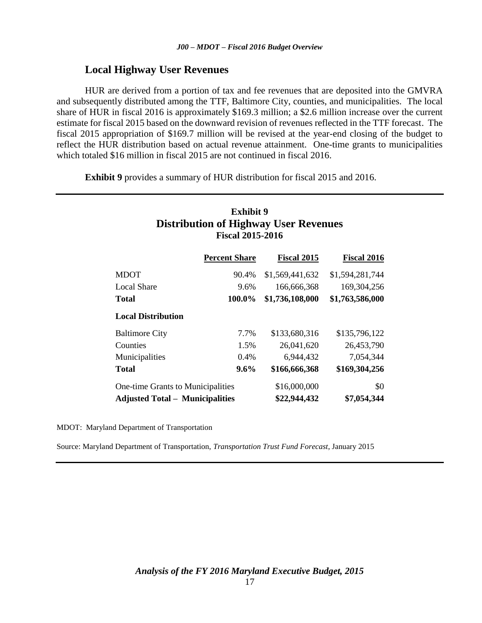### **Local Highway User Revenues**

HUR are derived from a portion of tax and fee revenues that are deposited into the GMVRA and subsequently distributed among the TTF, Baltimore City, counties, and municipalities. The local share of HUR in fiscal 2016 is approximately \$169.3 million; a \$2.6 million increase over the current estimate for fiscal 2015 based on the downward revision of revenues reflected in the TTF forecast. The fiscal 2015 appropriation of \$169.7 million will be revised at the year-end closing of the budget to reflect the HUR distribution based on actual revenue attainment. One-time grants to municipalities which totaled \$16 million in fiscal 2015 are not continued in fiscal 2016.

**Exhibit 9** provides a summary of HUR distribution for fiscal 2015 and 2016.

### **Exhibit 9 Distribution of Highway User Revenues Fiscal 2015-2016**

|                                        | <b>Percent Share</b> | <b>Fiscal 2015</b> | <b>Fiscal 2016</b> |
|----------------------------------------|----------------------|--------------------|--------------------|
| <b>MDOT</b>                            | 90.4%                | \$1,569,441,632    | \$1,594,281,744    |
| <b>Local Share</b>                     | 9.6%                 | 166,666,368        | 169,304,256        |
| <b>Total</b>                           | 100.0%               | \$1,736,108,000    | \$1,763,586,000    |
| <b>Local Distribution</b>              |                      |                    |                    |
| <b>Baltimore City</b>                  | 7.7%                 | \$133,680,316      | \$135,796,122      |
| Counties                               | 1.5%                 | 26,041,620         | 26,453,790         |
| Municipalities                         | 0.4%                 | 6,944,432          | 7,054,344          |
| <b>Total</b>                           | 9.6%                 | \$166,666,368      | \$169,304,256      |
| One-time Grants to Municipalities      |                      | \$16,000,000       | \$0                |
| <b>Adjusted Total – Municipalities</b> |                      | \$22,944,432       | \$7,054,344        |

MDOT: Maryland Department of Transportation

Source: Maryland Department of Transportation, *Transportation Trust Fund Forecast*, January 2015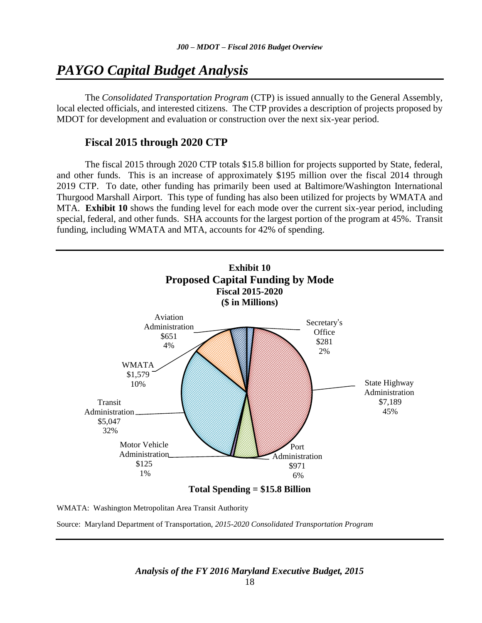# *PAYGO Capital Budget Analysis*

The *Consolidated Transportation Program* (CTP) is issued annually to the General Assembly, local elected officials, and interested citizens. The CTP provides a description of projects proposed by MDOT for development and evaluation or construction over the next six-year period.

### **Fiscal 2015 through 2020 CTP**

The fiscal 2015 through 2020 CTP totals \$15.8 billion for projects supported by State, federal, and other funds. This is an increase of approximately \$195 million over the fiscal 2014 through 2019 CTP. To date, other funding has primarily been used at Baltimore/Washington International Thurgood Marshall Airport. This type of funding has also been utilized for projects by WMATA and MTA. **Exhibit 10** shows the funding level for each mode over the current six-year period, including special, federal, and other funds. SHA accounts for the largest portion of the program at 45%. Transit funding, including WMATA and MTA, accounts for 42% of spending.



WMATA: Washington Metropolitan Area Transit Authority

Source: Maryland Department of Transportation, *2015-2020 Consolidated Transportation Program*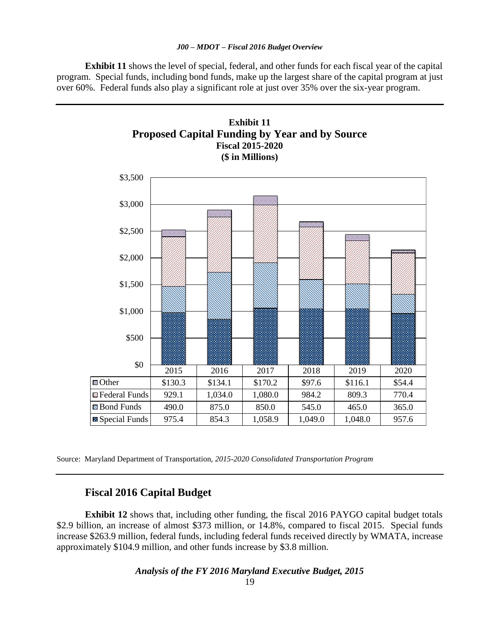**Exhibit 11** shows the level of special, federal, and other funds for each fiscal year of the capital program. Special funds, including bond funds, make up the largest share of the capital program at just over 60%. Federal funds also play a significant role at just over 35% over the six-year program.



Source: Maryland Department of Transportation, *2015-2020 Consolidated Transportation Program*

### **Fiscal 2016 Capital Budget**

**Exhibit 12** shows that, including other funding, the fiscal 2016 PAYGO capital budget totals \$2.9 billion, an increase of almost \$373 million, or 14.8%, compared to fiscal 2015. Special funds increase \$263.9 million, federal funds, including federal funds received directly by WMATA, increase approximately \$104.9 million, and other funds increase by \$3.8 million.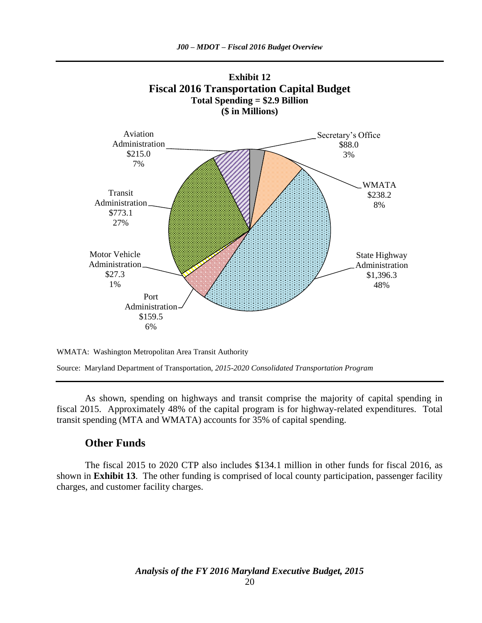



Source: Maryland Department of Transportation, *2015-2020 Consolidated Transportation Program*

As shown, spending on highways and transit comprise the majority of capital spending in fiscal 2015. Approximately 48% of the capital program is for highway-related expenditures. Total transit spending (MTA and WMATA) accounts for 35% of capital spending.

### **Other Funds**

The fiscal 2015 to 2020 CTP also includes \$134.1 million in other funds for fiscal 2016, as shown in **Exhibit 13**. The other funding is comprised of local county participation, passenger facility charges, and customer facility charges.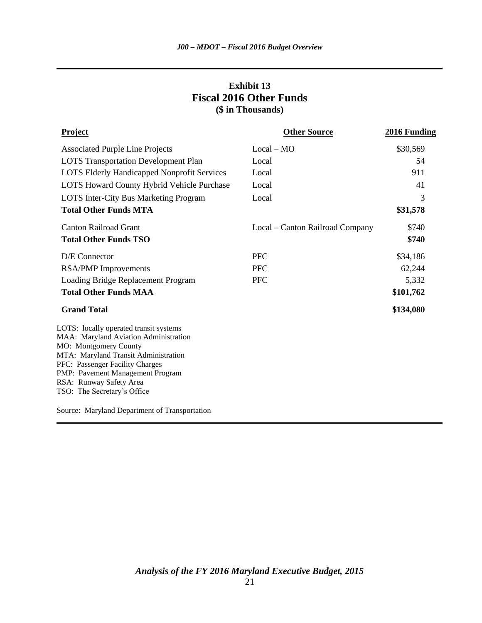### **Exhibit 13 Fiscal 2016 Other Funds (\$ in Thousands)**

| <b>Project</b>                                                                                                                                                                                                                                                                    | <b>Other Source</b>             | 2016 Funding |
|-----------------------------------------------------------------------------------------------------------------------------------------------------------------------------------------------------------------------------------------------------------------------------------|---------------------------------|--------------|
| <b>Associated Purple Line Projects</b>                                                                                                                                                                                                                                            | $Local - MO$                    | \$30,569     |
| <b>LOTS</b> Transportation Development Plan                                                                                                                                                                                                                                       | Local                           | 54           |
| <b>LOTS Elderly Handicapped Nonprofit Services</b>                                                                                                                                                                                                                                | Local                           | 911          |
| LOTS Howard County Hybrid Vehicle Purchase                                                                                                                                                                                                                                        | Local                           | 41           |
| LOTS Inter-City Bus Marketing Program                                                                                                                                                                                                                                             | Local                           | 3            |
| <b>Total Other Funds MTA</b>                                                                                                                                                                                                                                                      |                                 | \$31,578     |
| <b>Canton Railroad Grant</b>                                                                                                                                                                                                                                                      | Local – Canton Railroad Company | \$740        |
| <b>Total Other Funds TSO</b>                                                                                                                                                                                                                                                      |                                 | \$740        |
| D/E Connector                                                                                                                                                                                                                                                                     | <b>PFC</b>                      | \$34,186     |
| <b>RSA/PMP</b> Improvements                                                                                                                                                                                                                                                       | <b>PFC</b>                      | 62,244       |
| Loading Bridge Replacement Program                                                                                                                                                                                                                                                | <b>PFC</b>                      | 5,332        |
| <b>Total Other Funds MAA</b>                                                                                                                                                                                                                                                      |                                 | \$101,762    |
| <b>Grand Total</b>                                                                                                                                                                                                                                                                |                                 | \$134,080    |
| LOTS: locally operated transit systems<br>MAA: Maryland Aviation Administration<br>MO: Montgomery County<br>MTA: Maryland Transit Administration<br>PFC: Passenger Facility Charges<br>PMP: Pavement Management Program<br>RSA: Runway Safety Area<br>TSO: The Secretary's Office |                                 |              |
| Source: Maryland Department of Transportation                                                                                                                                                                                                                                     |                                 |              |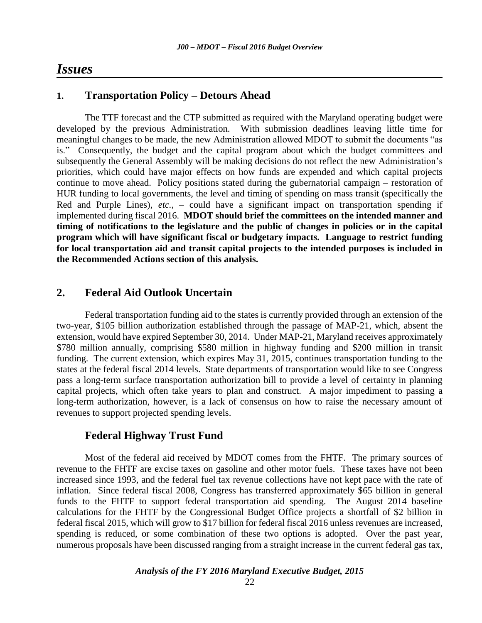## *Issues*

### **1. Transportation Policy – Detours Ahead**

The TTF forecast and the CTP submitted as required with the Maryland operating budget were developed by the previous Administration. With submission deadlines leaving little time for meaningful changes to be made, the new Administration allowed MDOT to submit the documents "as is." Consequently, the budget and the capital program about which the budget committees and subsequently the General Assembly will be making decisions do not reflect the new Administration's priorities, which could have major effects on how funds are expended and which capital projects continue to move ahead. Policy positions stated during the gubernatorial campaign – restoration of HUR funding to local governments, the level and timing of spending on mass transit (specifically the Red and Purple Lines), *etc.*, – could have a significant impact on transportation spending if implemented during fiscal 2016. **MDOT should brief the committees on the intended manner and timing of notifications to the legislature and the public of changes in policies or in the capital program which will have significant fiscal or budgetary impacts. Language to restrict funding for local transportation aid and transit capital projects to the intended purposes is included in the Recommended Actions section of this analysis.**

### **2. Federal Aid Outlook Uncertain**

Federal transportation funding aid to the states is currently provided through an extension of the two-year, \$105 billion authorization established through the passage of MAP-21, which, absent the extension, would have expired September 30, 2014. Under MAP-21, Maryland receives approximately \$780 million annually, comprising \$580 million in highway funding and \$200 million in transit funding. The current extension, which expires May 31, 2015, continues transportation funding to the states at the federal fiscal 2014 levels. State departments of transportation would like to see Congress pass a long-term surface transportation authorization bill to provide a level of certainty in planning capital projects, which often take years to plan and construct. A major impediment to passing a long-term authorization, however, is a lack of consensus on how to raise the necessary amount of revenues to support projected spending levels.

#### **Federal Highway Trust Fund**

Most of the federal aid received by MDOT comes from the FHTF. The primary sources of revenue to the FHTF are excise taxes on gasoline and other motor fuels. These taxes have not been increased since 1993, and the federal fuel tax revenue collections have not kept pace with the rate of inflation. Since federal fiscal 2008, Congress has transferred approximately \$65 billion in general funds to the FHTF to support federal transportation aid spending. The August 2014 baseline calculations for the FHTF by the Congressional Budget Office projects a shortfall of \$2 billion in federal fiscal 2015, which will grow to \$17 billion for federal fiscal 2016 unless revenues are increased, spending is reduced, or some combination of these two options is adopted. Over the past year, numerous proposals have been discussed ranging from a straight increase in the current federal gas tax,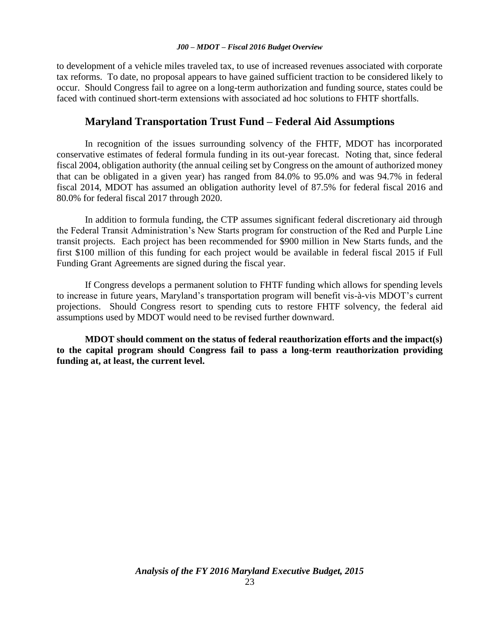to development of a vehicle miles traveled tax, to use of increased revenues associated with corporate tax reforms. To date, no proposal appears to have gained sufficient traction to be considered likely to occur. Should Congress fail to agree on a long-term authorization and funding source, states could be faced with continued short-term extensions with associated ad hoc solutions to FHTF shortfalls.

### **Maryland Transportation Trust Fund – Federal Aid Assumptions**

In recognition of the issues surrounding solvency of the FHTF, MDOT has incorporated conservative estimates of federal formula funding in its out-year forecast. Noting that, since federal fiscal 2004, obligation authority (the annual ceiling set by Congress on the amount of authorized money that can be obligated in a given year) has ranged from 84.0% to 95.0% and was 94.7% in federal fiscal 2014, MDOT has assumed an obligation authority level of 87.5% for federal fiscal 2016 and 80.0% for federal fiscal 2017 through 2020.

In addition to formula funding, the CTP assumes significant federal discretionary aid through the Federal Transit Administration's New Starts program for construction of the Red and Purple Line transit projects. Each project has been recommended for \$900 million in New Starts funds, and the first \$100 million of this funding for each project would be available in federal fiscal 2015 if Full Funding Grant Agreements are signed during the fiscal year.

If Congress develops a permanent solution to FHTF funding which allows for spending levels to increase in future years, Maryland's transportation program will benefit vis-à-vis MDOT's current projections. Should Congress resort to spending cuts to restore FHTF solvency, the federal aid assumptions used by MDOT would need to be revised further downward.

**MDOT should comment on the status of federal reauthorization efforts and the impact(s) to the capital program should Congress fail to pass a long-term reauthorization providing funding at, at least, the current level.**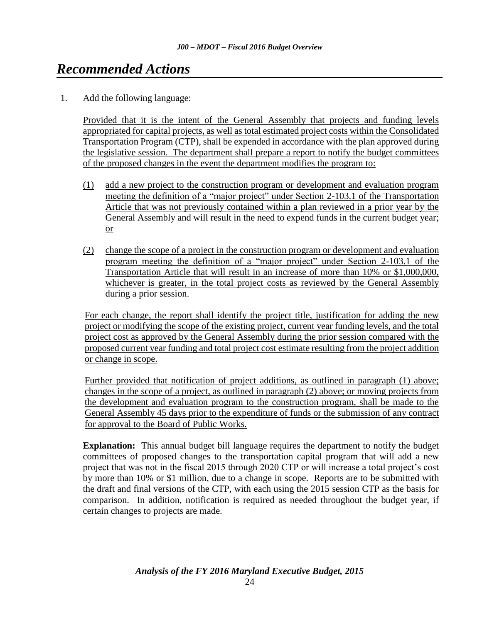# <span id="page-23-0"></span>*[Recommended Actions](#page-2-0)*

1. Add the following language:

Provided that it is the intent of the General Assembly that projects and funding levels appropriated for capital projects, as well as total estimated project costs within the Consolidated Transportation Program (CTP), shall be expended in accordance with the plan approved during the legislative session. The department shall prepare a report to notify the budget committees of the proposed changes in the event the department modifies the program to:

- (1) add a new project to the construction program or development and evaluation program meeting the definition of a "major project" under Section 2-103.1 of the Transportation Article that was not previously contained within a plan reviewed in a prior year by the General Assembly and will result in the need to expend funds in the current budget year; or
- (2) change the scope of a project in the construction program or development and evaluation program meeting the definition of a "major project" under Section 2-103.1 of the Transportation Article that will result in an increase of more than 10% or \$1,000,000, whichever is greater, in the total project costs as reviewed by the General Assembly during a prior session.

For each change, the report shall identify the project title, justification for adding the new project or modifying the scope of the existing project, current year funding levels, and the total project cost as approved by the General Assembly during the prior session compared with the proposed current year funding and total project cost estimate resulting from the project addition or change in scope.

Further provided that notification of project additions, as outlined in paragraph (1) above; changes in the scope of a project, as outlined in paragraph (2) above; or moving projects from the development and evaluation program to the construction program, shall be made to the General Assembly 45 days prior to the expenditure of funds or the submission of any contract for approval to the Board of Public Works.

**Explanation:** This annual budget bill language requires the department to notify the budget committees of proposed changes to the transportation capital program that will add a new project that was not in the fiscal 2015 through 2020 CTP or will increase a total project's cost by more than 10% or \$1 million, due to a change in scope. Reports are to be submitted with the draft and final versions of the CTP, with each using the 2015 session CTP as the basis for comparison. In addition, notification is required as needed throughout the budget year, if certain changes to projects are made.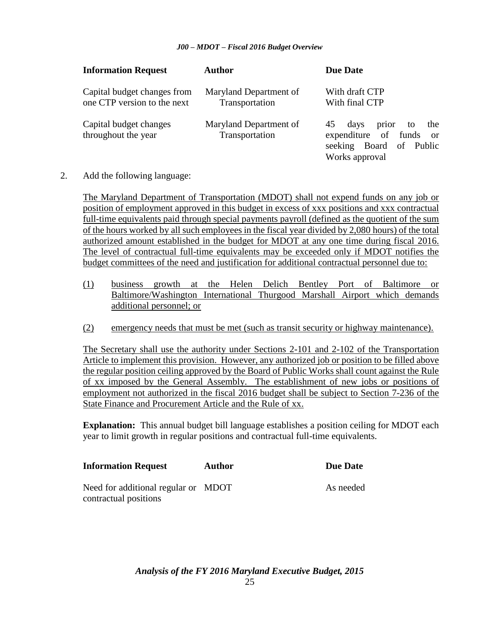| <b>Information Request</b>                                 | <b>Author</b>                            | <b>Due Date</b>                                                                                                        |
|------------------------------------------------------------|------------------------------------------|------------------------------------------------------------------------------------------------------------------------|
| Capital budget changes from<br>one CTP version to the next | Maryland Department of<br>Transportation | With draft CTP<br>With final CTP                                                                                       |
| Capital budget changes<br>throughout the year              | Maryland Department of<br>Transportation | prior<br>45<br>days<br>the<br>to<br>expenditure of funds<br><sub>or</sub><br>seeking Board of Public<br>Works approval |

2. Add the following language:

The Maryland Department of Transportation (MDOT) shall not expend funds on any job or position of employment approved in this budget in excess of xxx positions and xxx contractual full-time equivalents paid through special payments payroll (defined as the quotient of the sum of the hours worked by all such employees in the fiscal year divided by 2,080 hours) of the total authorized amount established in the budget for MDOT at any one time during fiscal 2016. The level of contractual full-time equivalents may be exceeded only if MDOT notifies the budget committees of the need and justification for additional contractual personnel due to:

- (1) business growth at the Helen Delich Bentley Port of Baltimore or Baltimore/Washington International Thurgood Marshall Airport which demands additional personnel; or
- (2) emergency needs that must be met (such as transit security or highway maintenance).

The Secretary shall use the authority under Sections 2-101 and 2-102 of the Transportation Article to implement this provision. However, any authorized job or position to be filled above the regular position ceiling approved by the Board of Public Works shall count against the Rule of xx imposed by the General Assembly. The establishment of new jobs or positions of employment not authorized in the fiscal 2016 budget shall be subject to Section 7-236 of the State Finance and Procurement Article and the Rule of xx.

**Explanation:** This annual budget bill language establishes a position ceiling for MDOT each year to limit growth in regular positions and contractual full-time equivalents.

| <b>Information Request</b>          | <b>Author</b> | Due Date  |
|-------------------------------------|---------------|-----------|
| Need for additional regular or MDOT |               | As needed |
| contractual positions               |               |           |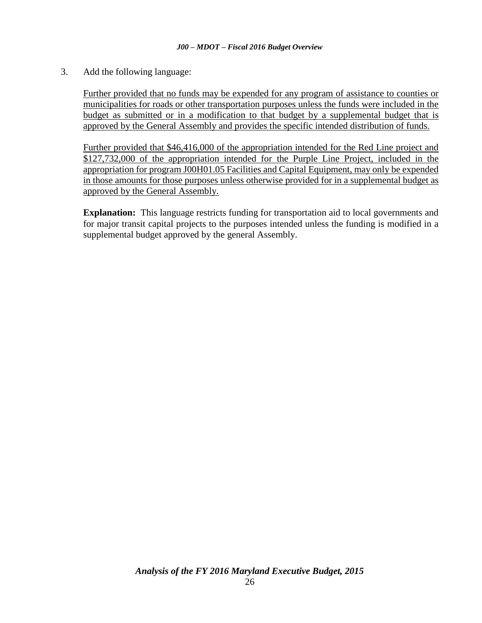3. Add the following language:

Further provided that no funds may be expended for any program of assistance to counties or municipalities for roads or other transportation purposes unless the funds were included in the budget as submitted or in a modification to that budget by a supplemental budget that is approved by the General Assembly and provides the specific intended distribution of funds.

Further provided that \$46,416,000 of the appropriation intended for the Red Line project and \$127,732,000 of the appropriation intended for the Purple Line Project, included in the appropriation for program J00H01.05 Facilities and Capital Equipment, may only be expended in those amounts for those purposes unless otherwise provided for in a supplemental budget as approved by the General Assembly.

**Explanation:** This language restricts funding for transportation aid to local governments and for major transit capital projects to the purposes intended unless the funding is modified in a supplemental budget approved by the general Assembly.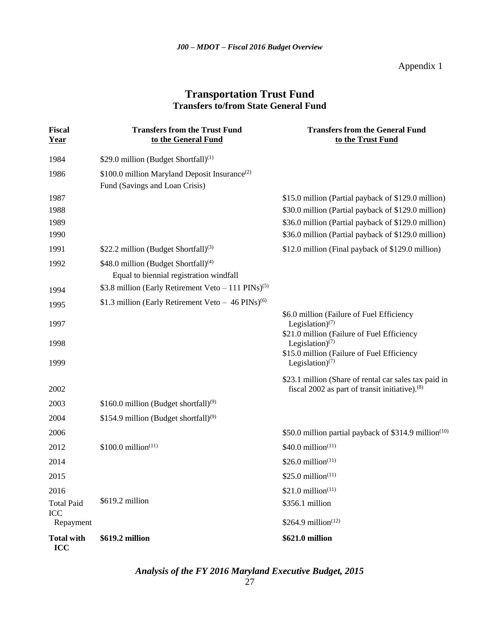Appendix 1

### **Transportation Trust Fund Transfers to/from State General Fund**

| <b>Fiscal</b><br>Year           | <b>Transfers from the Trust Fund</b><br>to the General Fund                                 | <b>Transfers from the General Fund</b><br>to the Trust Fund                                                            |
|---------------------------------|---------------------------------------------------------------------------------------------|------------------------------------------------------------------------------------------------------------------------|
| 1984                            | \$29.0 million (Budget Shortfall) <sup>(1)</sup>                                            |                                                                                                                        |
| 1986                            | \$100.0 million Maryland Deposit Insurance <sup>(2)</sup><br>Fund (Savings and Loan Crisis) |                                                                                                                        |
| 1987                            |                                                                                             | \$15.0 million (Partial payback of \$129.0 million)                                                                    |
| 1988                            |                                                                                             | \$30.0 million (Partial payback of \$129.0 million)                                                                    |
| 1989                            |                                                                                             | \$36.0 million (Partial payback of \$129.0 million)                                                                    |
| 1990                            |                                                                                             | \$36.0 million (Partial payback of \$129.0 million)                                                                    |
| 1991                            | \$22.2 million (Budget Shortfall) <sup>(3)</sup>                                            | \$12.0 million (Final payback of \$129.0 million)                                                                      |
| 1992                            | \$48.0 million (Budget Shortfall) <sup>(4)</sup><br>Equal to biennial registration windfall |                                                                                                                        |
| 1994                            | \$3.8 million (Early Retirement Veto $-111$ PINs) <sup>(5)</sup>                            |                                                                                                                        |
| 1995                            | \$1.3 million (Early Retirement Veto $-46$ PINs) <sup>(6)</sup>                             |                                                                                                                        |
| 1997                            |                                                                                             | \$6.0 million (Failure of Fuel Efficiency<br>Legislation) <sup>(7)</sup><br>\$21.0 million (Failure of Fuel Efficiency |
| 1998                            |                                                                                             | Legislation) <sup>(7)</sup><br>\$15.0 million (Failure of Fuel Efficiency                                              |
| 1999                            |                                                                                             | Legislation) $(7)$                                                                                                     |
| 2002                            |                                                                                             | \$23.1 million (Share of rental car sales tax paid in<br>fiscal 2002 as part of transit initiative). <sup>(8)</sup>    |
| 2003                            | \$160.0 million (Budget shortfall) <sup>(9)</sup>                                           |                                                                                                                        |
| 2004                            | \$154.9 million (Budget shortfall) <sup>(9)</sup>                                           |                                                                                                                        |
| 2006                            |                                                                                             | \$50.0 million partial payback of \$314.9 million <sup>(10)</sup>                                                      |
| 2012                            | $$100.0 \text{ million}^{(11)}$$                                                            | $$40.0$ million <sup><math>(11)</math></sup>                                                                           |
| 2014                            |                                                                                             | \$26.0 million $(11)$                                                                                                  |
| 2015                            |                                                                                             | \$25.0 million <sup>(11)</sup>                                                                                         |
| 2016                            |                                                                                             | $$21.0$ million <sup>(11)</sup>                                                                                        |
| <b>Total Paid</b><br><b>ICC</b> | \$619.2 million                                                                             | \$356.1 million                                                                                                        |
| Repayment                       |                                                                                             | \$264.9 million(12)                                                                                                    |
| <b>Total with</b><br>ICC        | \$619.2 million                                                                             | \$621.0 million                                                                                                        |